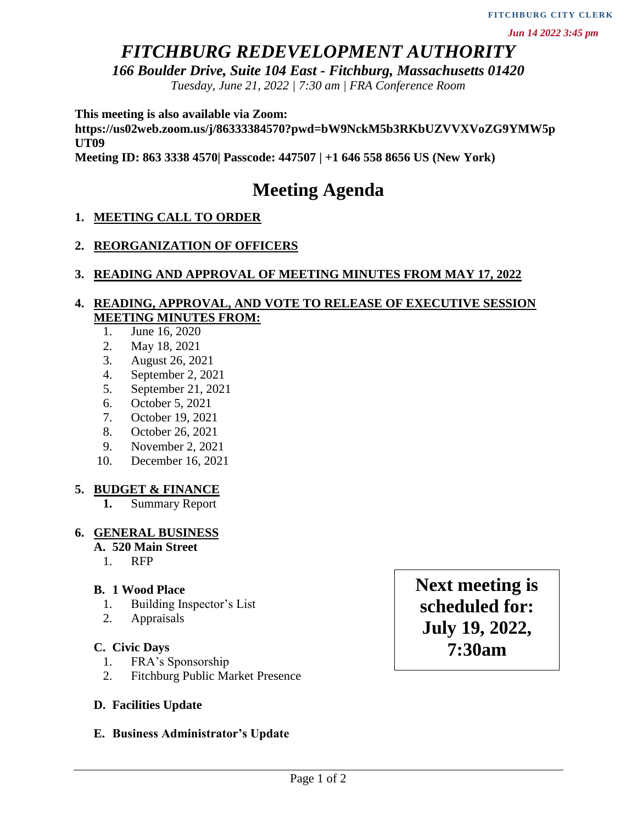## *FITCHBURG REDEVELOPMENT AUTHORITY*

*166 Boulder Drive, Suite 104 East - Fitchburg, Massachusetts 01420*

*Tuesday, June 21, 2022 | 7:30 am | FRA Conference Room*

**This meeting is also available via Zoom:**

**https://us02web.zoom.us/j/86333384570?pwd=bW9NckM5b3RKbUZVVXVoZG9YMW5p UT09**

**Meeting ID: 863 3338 4570| Passcode: 447507 | +1 646 558 8656 US (New York)**

# **Meeting Agenda**

## **1. MEETING CALL TO ORDER**

## **2. REORGANIZATION OF OFFICERS**

#### **3. READING AND APPROVAL OF MEETING MINUTES FROM MAY 17, 2022**

## **4. READING, APPROVAL, AND VOTE TO RELEASE OF EXECUTIVE SESSION MEETING MINUTES FROM:**

- 1. June 16, 2020
- 2. May 18, 2021
- 3. August 26, 2021
- 4. September 2, 2021
- 5. September 21, 2021
- 6. October 5, 2021
- 7. October 19, 2021
- 8. October 26, 2021
- 9. November 2, 2021
- 10. December 16, 2021

## **5. BUDGET & FINANCE**

**1.** Summary Report

## **6. GENERAL BUSINESS**

#### **A. 520 Main Street**

1. RFP

## **B. 1 Wood Place**

- 1. Building Inspector's List
- 2. Appraisals

#### **C. Civic Days**

- 1. FRA's Sponsorship
- 2. Fitchburg Public Market Presence

## **D. Facilities Update**

## **E. Business Administrator's Update**

**Next meeting is scheduled for: July 19, 2022, 7:30am**